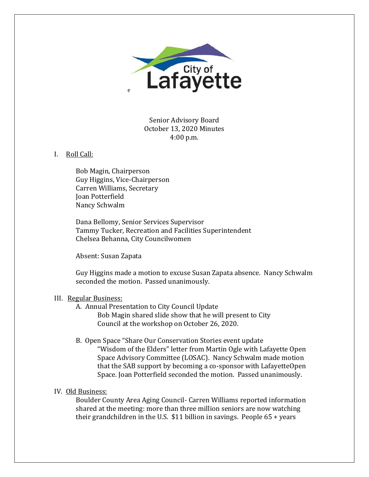

Senior Advisory Board October 13, 2020 Minutes 4:00 p.m.

### I. Roll Call:

Bob Magin, Chairperson Guy Higgins, Vice-Chairperson Carren Williams, Secretary Joan Potterfield Nancy Schwalm

Dana Bellomy, Senior Services Supervisor Tammy Tucker, Recreation and Facilities Superintendent Chelsea Behanna, City Councilwomen

Absent: Susan Zapata

Guy Higgins made a motion to excuse Susan Zapata absence. Nancy Schwalm seconded the motion. Passed unanimously.

## III. Regular Business:

A. Annual Presentation to City Council Update

Bob Magin shared slide show that he will present to City Council at the workshop on October 26, 2020.

B. Open Space "Share Our Conservation Stories event update

"Wisdom of the Elders" letter from Martin Ogle with Lafayette Open Space Advisory Committee (LOSAC). Nancy Schwalm made motion that the SAB support by becoming a co-sponsor with LafayetteOpen Space. Joan Potterfield seconded the motion. Passed unanimously.

# IV. Old Business:

Boulder County Area Aging Council- Carren Williams reported information shared at the meeting: more than three million seniors are now watching their grandchildren in the U.S. \$11 billion in savings. People 65 + years